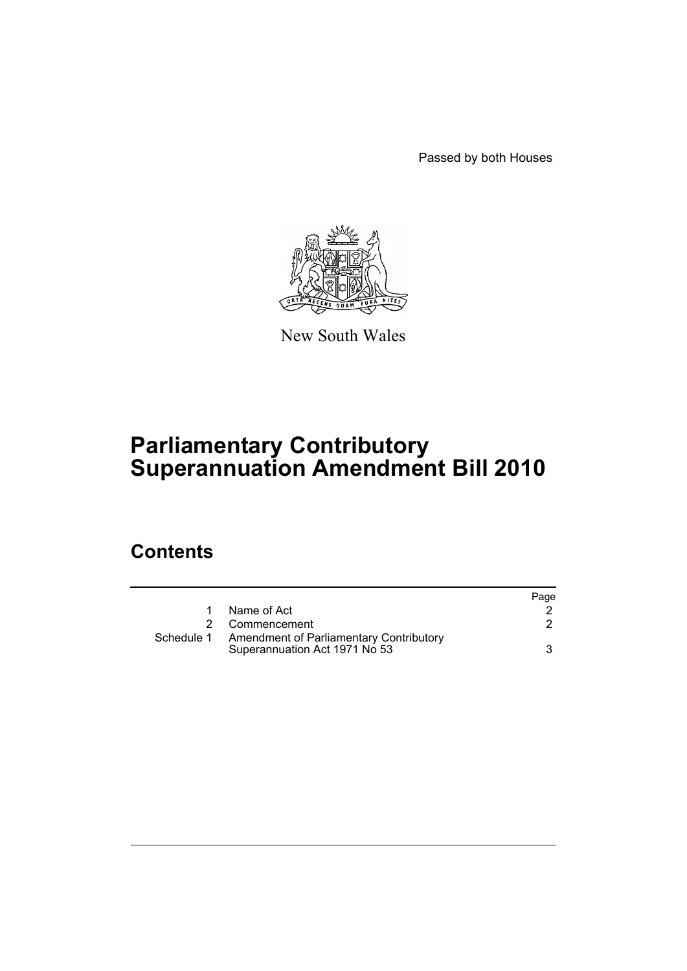Passed by both Houses



New South Wales

# **Parliamentary Contributory Superannuation Amendment Bill 2010**

### **Contents**

|            |                                                                                 | Page |
|------------|---------------------------------------------------------------------------------|------|
|            | Name of Act                                                                     |      |
|            | 2 Commencement                                                                  |      |
| Schedule 1 | <b>Amendment of Parliamentary Contributory</b><br>Superannuation Act 1971 No 53 | 3    |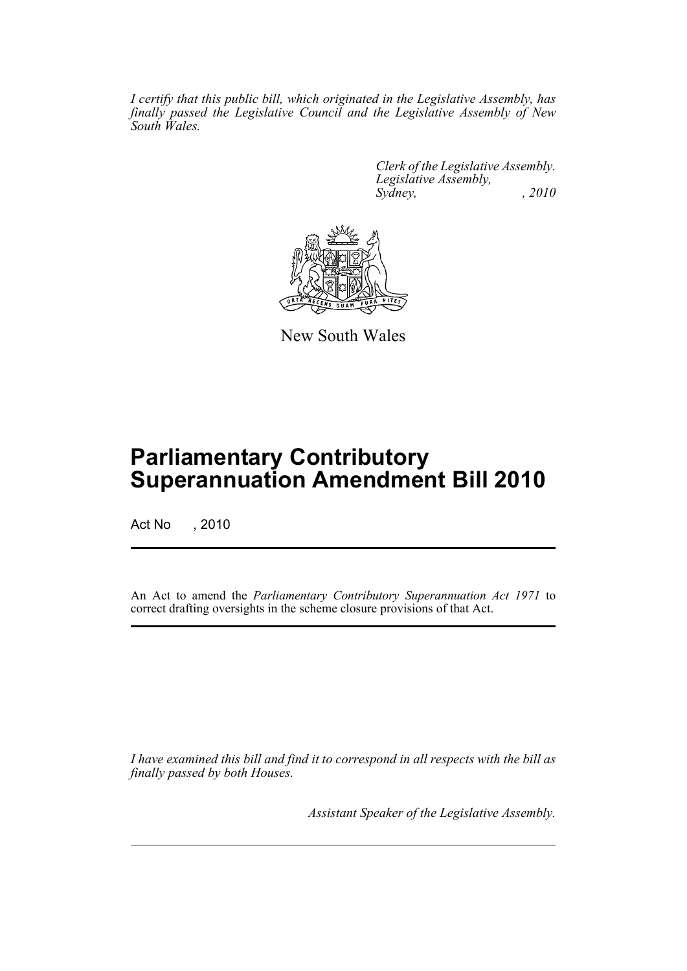*I certify that this public bill, which originated in the Legislative Assembly, has finally passed the Legislative Council and the Legislative Assembly of New South Wales.*

> *Clerk of the Legislative Assembly. Legislative Assembly, Sydney, , 2010*



New South Wales

## **Parliamentary Contributory Superannuation Amendment Bill 2010**

Act No , 2010

An Act to amend the *Parliamentary Contributory Superannuation Act 1971* to correct drafting oversights in the scheme closure provisions of that Act.

*I have examined this bill and find it to correspond in all respects with the bill as finally passed by both Houses.*

*Assistant Speaker of the Legislative Assembly.*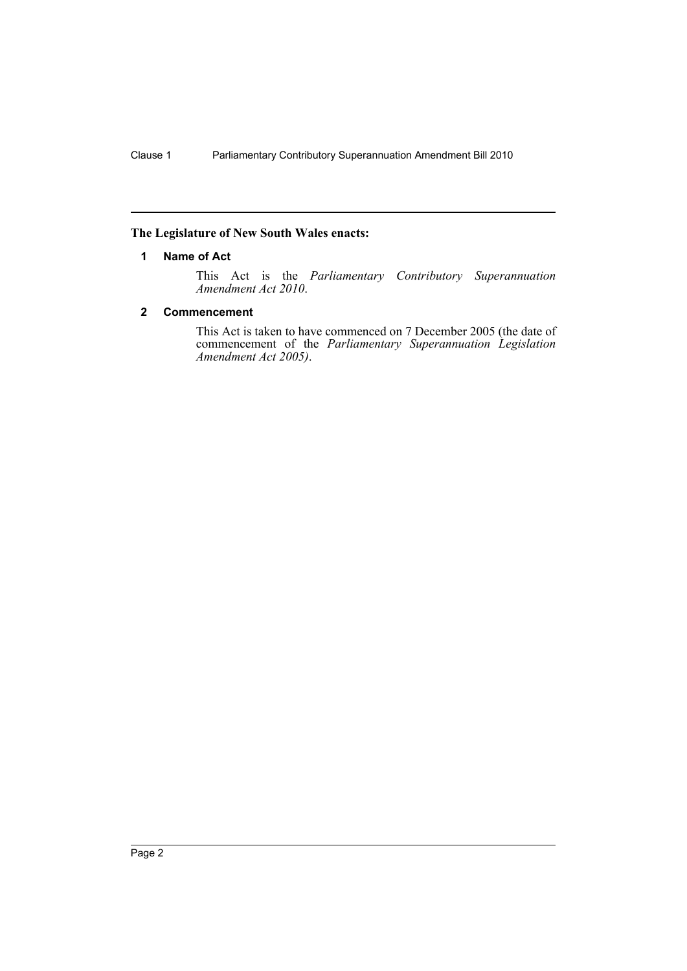#### <span id="page-2-0"></span>**The Legislature of New South Wales enacts:**

#### **1 Name of Act**

This Act is the *Parliamentary Contributory Superannuation Amendment Act 2010*.

#### <span id="page-2-1"></span>**2 Commencement**

This Act is taken to have commenced on 7 December 2005 (the date of commencement of the *Parliamentary Superannuation Legislation Amendment Act 2005)*.